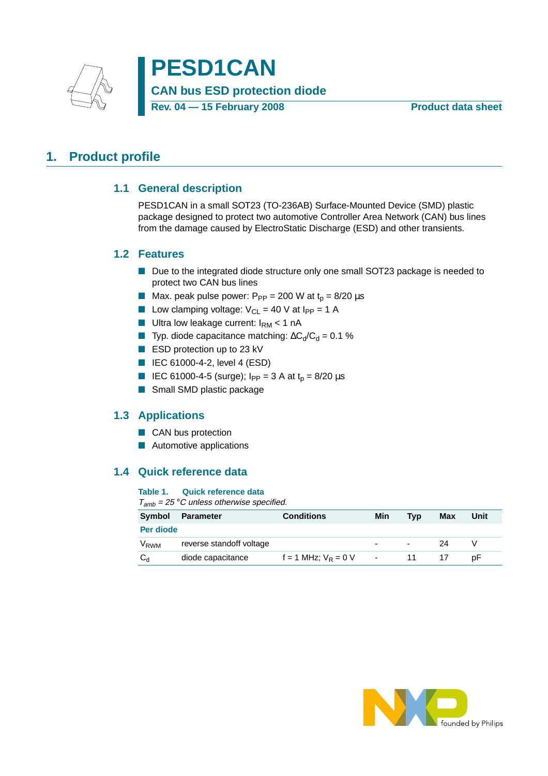

**PESD1CAN CAN bus ESD protection diode** Rev. 04 – 15 February 2008 **Product data sheet** 

# <span id="page-0-2"></span><span id="page-0-1"></span>**1. Product profile**

#### **1.1 General description**

PESD1CAN in a small SOT23 (TO-236AB) Surface-Mounted Device (SMD) plastic package designed to protect two automotive Controller Area Network (CAN) bus lines from the damage caused by ElectroStatic Discharge (ESD) and other transients.

#### <span id="page-0-0"></span>**1.2 Features**

- Due to the integrated diode structure only one small SOT23 package is needed to protect two CAN bus lines
- Max. peak pulse power:  $P_{PP} = 200$  W at  $t_p = 8/20$   $\mu s$
- **Low clamping voltage:**  $V_{\text{Cl}} = 40$  V at  $I_{\text{PP}} = 1$  A
- **Ultra low leakage current:**  $I_{\text{RM}} < 1 \text{ nA}$
- Typ. diode capacitance matching:  $\Delta C_d/C_d = 0.1$  %
- ESD protection up to 23 kV
- IEC 61000-4-2, level 4 (ESD)
- IEC 61000-4-5 (surge);  $I_{PP} = 3$  A at  $t_p = 8/20$   $\mu s$
- Small SMD plastic package

#### <span id="page-0-3"></span>**1.3 Applications**

- CAN bus protection
- Automotive applications

### <span id="page-0-4"></span>**1.4 Quick reference data**

#### **Table 1. Quick reference data**

 $T<sub>amb</sub> = 25 °C$  unless otherwise specified.

| Symbol           | <b>Parameter</b>         | <b>Conditions</b>        | Min    | Tvp | Max | Unit |
|------------------|--------------------------|--------------------------|--------|-----|-----|------|
| Per diode        |                          |                          |        |     |     |      |
| V <sub>RWM</sub> | reverse standoff voltage |                          | -      | ٠   | 24  |      |
| $C_d$            | diode capacitance        | $f = 1$ MHz; $V_R = 0$ V | $\sim$ | 11  |     | рF   |

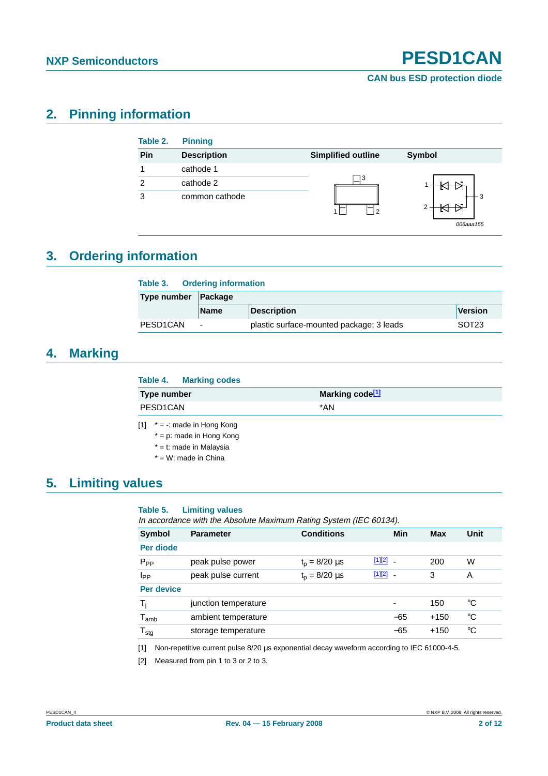# <span id="page-1-3"></span>**2. Pinning information**

| Table 2.       | <b>Pinning</b>     |                           |           |
|----------------|--------------------|---------------------------|-----------|
| Pin            | <b>Description</b> | <b>Simplified outline</b> | Symbol    |
|                | cathode 1          |                           |           |
| $\mathfrak{p}$ | cathode 2          | ٦3                        |           |
| 3              | common cathode     |                           | 006aaa155 |

# <span id="page-1-4"></span>**3. Ordering information**

| Table 3.              |                          | <b>Ordering information</b>              |                   |  |  |  |
|-----------------------|--------------------------|------------------------------------------|-------------------|--|--|--|
| Type number           | Package                  |                                          |                   |  |  |  |
|                       | <b>Name</b>              | <b>Description</b>                       | Version           |  |  |  |
| PESD <sub>1</sub> CAN | $\overline{\phantom{a}}$ | plastic surface-mounted package; 3 leads | SOT <sub>23</sub> |  |  |  |

## <span id="page-1-5"></span>**4. Marking**

| Table 4. Marking codes                                      |                             |
|-------------------------------------------------------------|-----------------------------|
| Type number                                                 | Marking code <sup>[1]</sup> |
| PESD1CAN                                                    | *AN                         |
| [1] $* = \cdot$ made in Hong Kong<br>* nimede in Ilena Kena |                             |

<span id="page-1-0"></span>= p: made in Hong Kong

\* = t: made in Malaysia

\* = W: made in China

## <span id="page-1-6"></span>**5. Limiting values**

#### **Table 5. Limiting values**

In accordance with the Absolute Maximum Rating System (IEC 60134).

| Symbol           | <b>Parameter</b>     | <b>Conditions</b>  |        | Min    | Max    | Unit |
|------------------|----------------------|--------------------|--------|--------|--------|------|
| Per diode        |                      |                    |        |        |        |      |
| $P_{PP}$         | peak pulse power     | $t_p = 8/20 \mu s$ | [1][2] | $\sim$ | 200    | W    |
| Ipp              | peak pulse current   | $t_p = 8/20 \mu s$ | [1][2] | $\sim$ | 3      | A    |
| Per device       |                      |                    |        |        |        |      |
| $T_i$            | junction temperature |                    |        |        | 150    | °C   |
| $T_{amb}$        | ambient temperature  |                    |        | $-65$  | $+150$ | °C   |
| $T_{\text{stg}}$ | storage temperature  |                    |        | $-65$  | $+150$ | °C   |
|                  |                      |                    |        |        |        |      |

<span id="page-1-1"></span>[1] Non-repetitive current pulse 8/20 µs exponential decay waveform according to IEC 61000-4-5.

<span id="page-1-2"></span>[2] Measured from pin 1 to 3 or 2 to 3.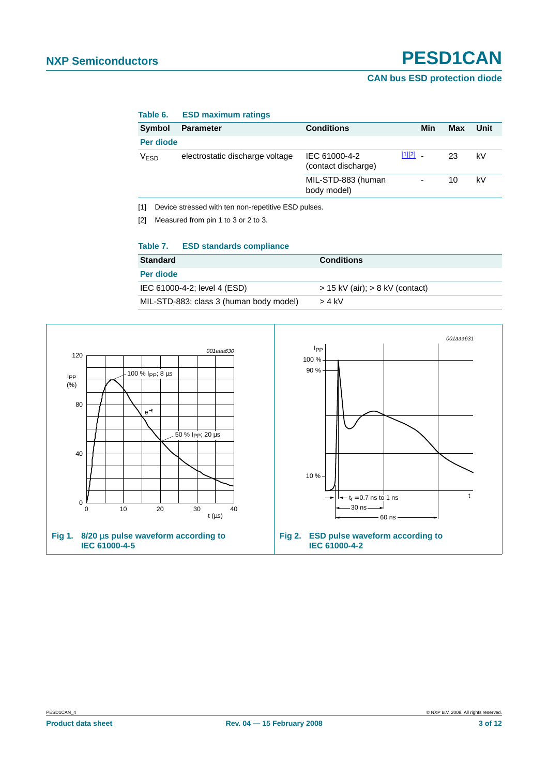#### **CAN bus ESD protection diode**

| iavit v.      | <b>LUD MAMMUMILIQUIIYS</b>      |                                      |            |     |     |      |
|---------------|---------------------------------|--------------------------------------|------------|-----|-----|------|
| Symbol        | <b>Parameter</b>                | <b>Conditions</b>                    |            | Min | Max | Unit |
| Per diode     |                                 |                                      |            |     |     |      |
| $\rm V_{ESD}$ | electrostatic discharge voltage | IEC 61000-4-2<br>(contact discharge) | $[1][2]$ . |     | 23  | kV   |
|               |                                 | MIL-STD-883 (human<br>body model)    |            | -   | 10  | k٧   |
|               |                                 |                                      |            |     |     |      |

#### **Table 6. ESD maximum ratings**

<span id="page-2-0"></span>[1] Device stressed with ten non-repetitive ESD pulses.

<span id="page-2-1"></span>[2] Measured from pin 1 to 3 or 2 to 3.

#### **Table 7. ESD standards compliance**

| <b>Standard</b>                         | <b>Conditions</b>                   |
|-----------------------------------------|-------------------------------------|
| Per diode                               |                                     |
| IEC 61000-4-2; level 4 (ESD)            | $>$ 15 kV (air); $>$ 8 kV (contact) |
| MIL-STD-883; class 3 (human body model) | $>$ 4 kV                            |

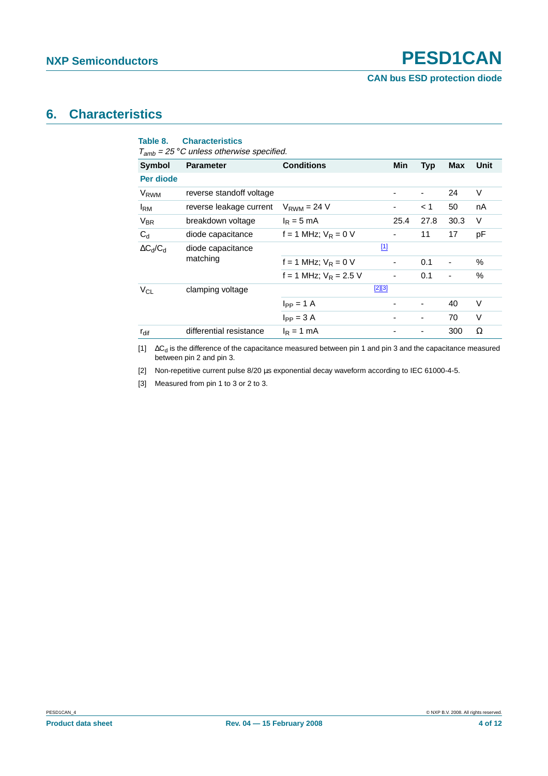## <span id="page-3-4"></span>**6. Characteristics**

<span id="page-3-3"></span>

| Table 8.         | <b>Characteristics</b>                                            |                          |                          |            |                          |        |
|------------------|-------------------------------------------------------------------|--------------------------|--------------------------|------------|--------------------------|--------|
| <b>Symbol</b>    | $T_{amb}$ = 25 °C unless otherwise specified.<br><b>Parameter</b> | <b>Conditions</b>        | Min                      | <b>Typ</b> | Max                      | Unit   |
| Per diode        |                                                                   |                          |                          |            |                          |        |
| V <sub>RWM</sub> | reverse standoff voltage                                          |                          | $\overline{\phantom{a}}$ | ۰          | 24                       | V      |
| <b>I</b> RM      | reverse leakage current                                           | $V_{RWM} = 24 V$         |                          | < 1        | 50                       | nA     |
| $V_{BR}$         | breakdown voltage                                                 | $I_R = 5$ mA             | 25.4                     | 27.8       | 30.3                     | V      |
| $C_d$            | diode capacitance                                                 | f = 1 MHz; $V_R$ = 0 V   |                          | 11         | 17                       | pF     |
| $\Delta C_d/C_d$ | diode capacitance                                                 |                          | $\boxed{1}$              |            |                          |        |
|                  | matching                                                          | $f = 1$ MHz; $V_R = 0$ V |                          | 0.1        | $\overline{\phantom{a}}$ | $\%$   |
|                  |                                                                   | f = 1 MHz; $V_R$ = 2.5 V |                          | 0.1        |                          | $\%$   |
| $V_{CL}$         | clamping voltage                                                  |                          | $[2][3]$                 |            |                          |        |
|                  |                                                                   | $I_{PP} = 1$ A           |                          | -          | 40                       | V      |
|                  |                                                                   | $I_{PP} = 3 A$           |                          |            | 70                       | $\vee$ |
| $r_{\text{dif}}$ | differential resistance                                           | $I_R = 1$ mA             |                          |            | 300                      | Ω      |
|                  |                                                                   |                          |                          |            |                          |        |

<span id="page-3-0"></span>[1] ∆C<sub>d</sub> is the difference of the capacitance measured between pin 1 and pin 3 and the capacitance measured between pin 2 and pin 3.

<span id="page-3-1"></span>[2] Non-repetitive current pulse 8/20 µs exponential decay waveform according to IEC 61000-4-5.

<span id="page-3-2"></span>[3] Measured from pin 1 to 3 or 2 to 3.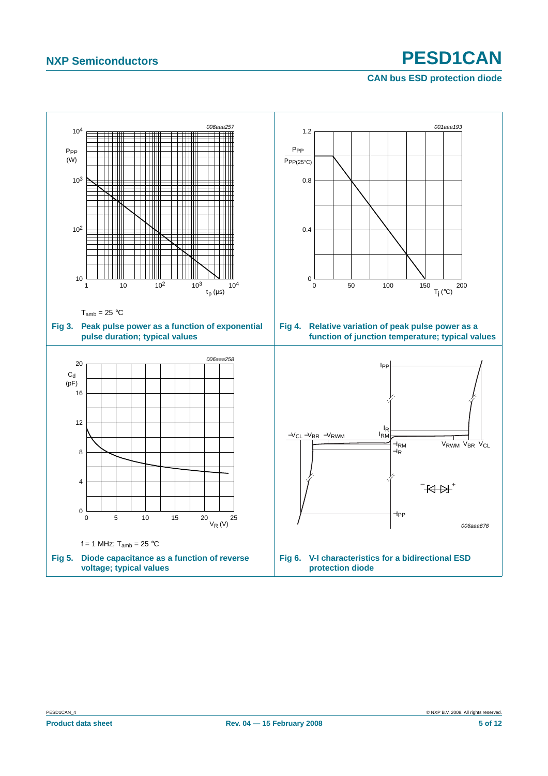**CAN bus ESD protection diode**

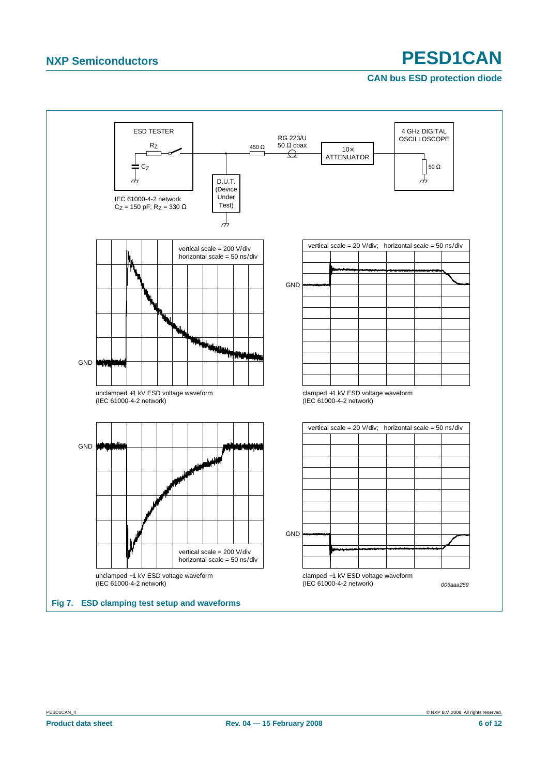#### **CAN bus ESD protection diode**

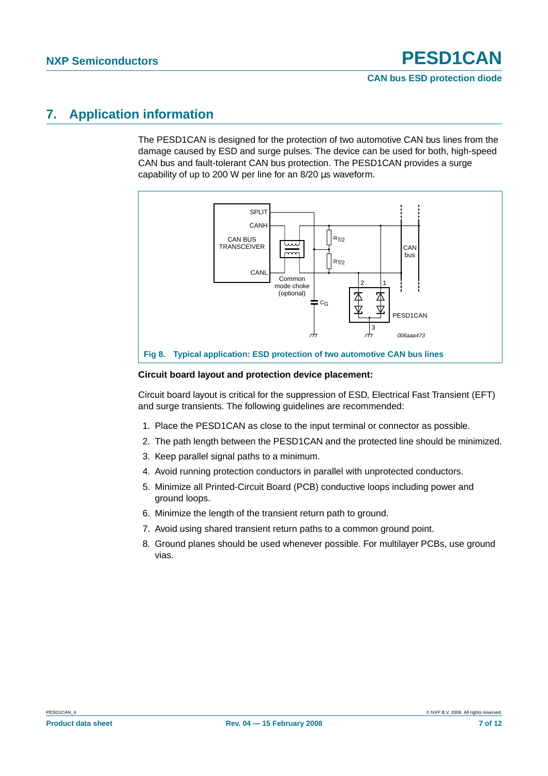## <span id="page-6-0"></span>**7. Application information**

The PESD1CAN is designed for the protection of two automotive CAN bus lines from the damage caused by ESD and surge pulses. The device can be used for both, high-speed CAN bus and fault-tolerant CAN bus protection. The PESD1CAN provides a surge capability of up to 200 W per line for an 8/20 µs waveform.



#### **Circuit board layout and protection device placement:**

Circuit board layout is critical for the suppression of ESD, Electrical Fast Transient (EFT) and surge transients. The following guidelines are recommended:

- 1. Place the PESD1CAN as close to the input terminal or connector as possible.
- 2. The path length between the PESD1CAN and the protected line should be minimized.
- 3. Keep parallel signal paths to a minimum.
- 4. Avoid running protection conductors in parallel with unprotected conductors.
- 5. Minimize all Printed-Circuit Board (PCB) conductive loops including power and ground loops.
- 6. Minimize the length of the transient return path to ground.
- 7. Avoid using shared transient return paths to a common ground point.
- 8. Ground planes should be used whenever possible. For multilayer PCBs, use ground vias.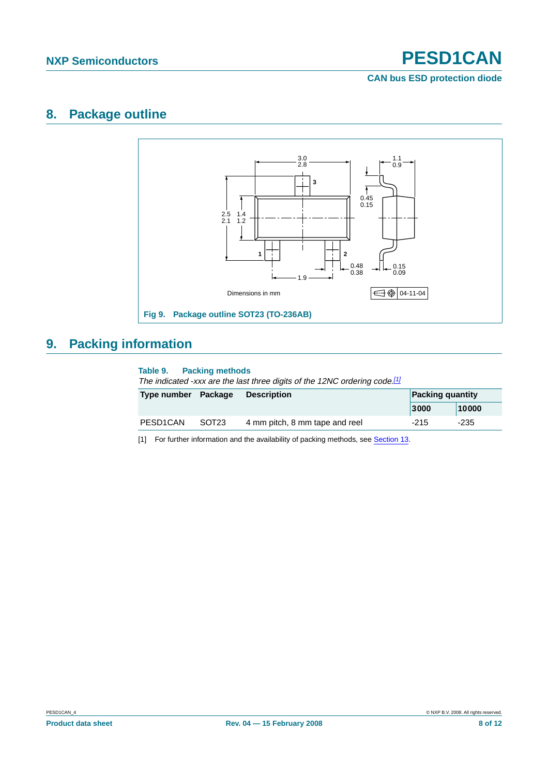**CAN bus ESD protection diode**

## <span id="page-7-1"></span>**8. Package outline**



# <span id="page-7-2"></span>**9. Packing information**

#### **Table 9. Packing methods**

The indicated -xxx are the last three digits of the 12NC ordering code.<sup>[\[1\]](#page-7-0)</sup>

| Type number Package   |                   | <b>Description</b>             |        | <b>Packing quantity</b> |  |
|-----------------------|-------------------|--------------------------------|--------|-------------------------|--|
|                       |                   |                                | 3000   | 10000                   |  |
| PESD <sub>1</sub> CAN | SOT <sub>23</sub> | 4 mm pitch, 8 mm tape and reel | $-215$ | -235                    |  |

<span id="page-7-0"></span>[1] For further information and the availability of packing methods, see [Section](#page-10-0) 13.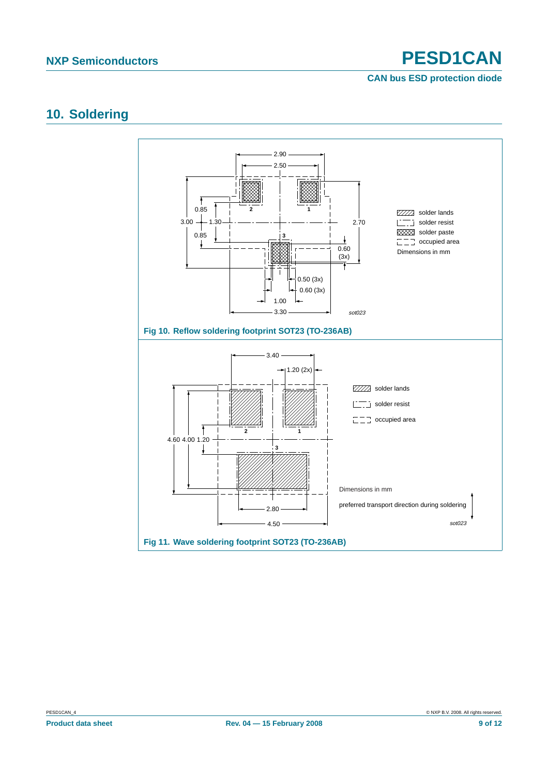**CAN bus ESD protection diode**

# <span id="page-8-0"></span>**10. Soldering**

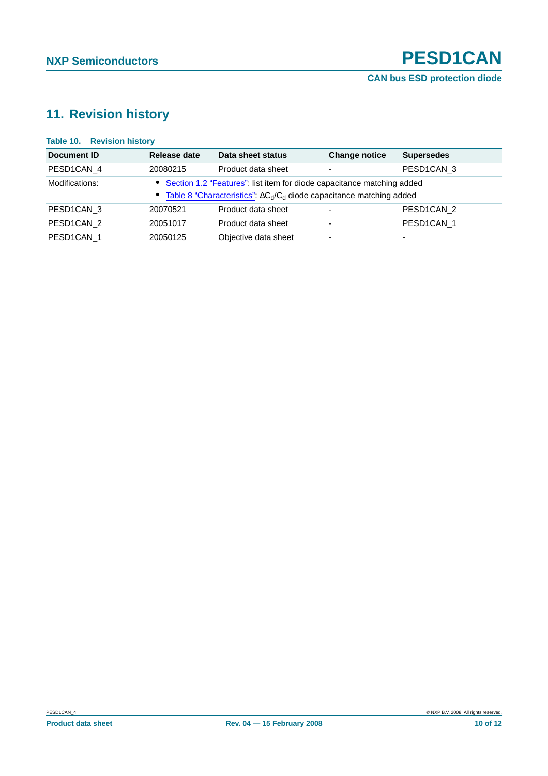**CAN bus ESD protection diode**

# <span id="page-9-0"></span>**11. Revision history**

| <b>Table 10. Revision history</b> |              |                                                                                                                                                            |                      |                          |
|-----------------------------------|--------------|------------------------------------------------------------------------------------------------------------------------------------------------------------|----------------------|--------------------------|
| Document ID                       | Release date | Data sheet status                                                                                                                                          | <b>Change notice</b> | <b>Supersedes</b>        |
| PESD1CAN_4                        | 20080215     | Product data sheet                                                                                                                                         | ٠                    | PESD1CAN 3               |
| Modifications:                    |              | • Section 1.2 "Features": list item for diode capacitance matching added<br>• Table 8 "Characteristics": $\Delta C_d/C_d$ diode capacitance matching added |                      |                          |
| PESD1CAN 3                        | 20070521     | Product data sheet                                                                                                                                         | ٠                    | PESD1CAN 2               |
| PESD1CAN_2                        | 20051017     | Product data sheet                                                                                                                                         | ٠                    | PESD1CAN 1               |
| PESD1CAN 1                        | 20050125     | Objective data sheet                                                                                                                                       | ٠                    | $\overline{\phantom{0}}$ |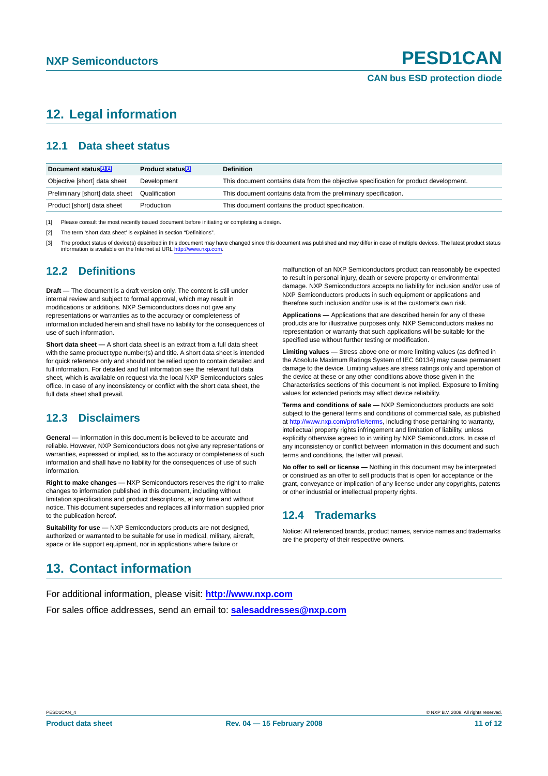# <span id="page-10-1"></span>**12. Legal information**

#### <span id="page-10-2"></span>**12.1 Data sheet status**

| Document status <sup>[1][2]</sup> | Product status <sup>[3]</sup> | <b>Definition</b>                                                                     |
|-----------------------------------|-------------------------------|---------------------------------------------------------------------------------------|
| Objective [short] data sheet      | Development                   | This document contains data from the objective specification for product development. |
| Preliminary [short] data sheet    | Qualification                 | This document contains data from the preliminary specification.                       |
| Product [short] data sheet        | Production                    | This document contains the product specification.                                     |

[1] Please consult the most recently issued document before initiating or completing a design.

[2] The term 'short data sheet' is explained in section "Definitions".

The product status of device(s) described in this document may have changed since this document was published and may differ in case of multiple devices. The latest product status information is available on the Internet at URL <http://www.nxp.com>.

#### <span id="page-10-3"></span>**12.2 Definitions**

**Draft —** The document is a draft version only. The content is still under internal review and subject to formal approval, which may result in modifications or additions. NXP Semiconductors does not give any representations or warranties as to the accuracy or completeness of information included herein and shall have no liability for the consequences of use of such information.

**Short data sheet —** A short data sheet is an extract from a full data sheet with the same product type number(s) and title. A short data sheet is intended for quick reference only and should not be relied upon to contain detailed and full information. For detailed and full information see the relevant full data sheet, which is available on request via the local NXP Semiconductors sales office. In case of any inconsistency or conflict with the short data sheet, the full data sheet shall prevail.

### <span id="page-10-4"></span>**12.3 Disclaimers**

**General —** Information in this document is believed to be accurate and reliable. However, NXP Semiconductors does not give any representations or warranties, expressed or implied, as to the accuracy or completeness of such information and shall have no liability for the consequences of use of such information.

**Right to make changes —** NXP Semiconductors reserves the right to make changes to information published in this document, including without limitation specifications and product descriptions, at any time and without notice. This document supersedes and replaces all information supplied prior to the publication hereof.

**Suitability for use —** NXP Semiconductors products are not designed, authorized or warranted to be suitable for use in medical, military, aircraft, space or life support equipment, nor in applications where failure or

malfunction of an NXP Semiconductors product can reasonably be expected to result in personal injury, death or severe property or environmental damage. NXP Semiconductors accepts no liability for inclusion and/or use of NXP Semiconductors products in such equipment or applications and therefore such inclusion and/or use is at the customer's own risk.

**Applications —** Applications that are described herein for any of these products are for illustrative purposes only. NXP Semiconductors makes no representation or warranty that such applications will be suitable for the specified use without further testing or modification.

**Limiting values —** Stress above one or more limiting values (as defined in the Absolute Maximum Ratings System of IEC 60134) may cause permanent damage to the device. Limiting values are stress ratings only and operation of the device at these or any other conditions above those given in the Characteristics sections of this document is not implied. Exposure to limiting values for extended periods may affect device reliability.

**Terms and conditions of sale —** NXP Semiconductors products are sold subject to the general terms and conditions of commercial sale, as published at <http://www.nxp.com/profile/terms>, including those pertaining to warranty, intellectual property rights infringement and limitation of liability, unless explicitly otherwise agreed to in writing by NXP Semiconductors. In case of any inconsistency or conflict between information in this document and such terms and conditions, the latter will prevail.

**No offer to sell or license —** Nothing in this document may be interpreted or construed as an offer to sell products that is open for acceptance or the grant, conveyance or implication of any license under any copyrights, patents or other industrial or intellectual property rights.

### <span id="page-10-5"></span>**12.4 Trademarks**

Notice: All referenced brands, product names, service names and trademarks are the property of their respective owners.

# <span id="page-10-0"></span>**13. Contact information**

For additional information, please visit: **http://www.nxp.com**

For sales office addresses, send an email to: **salesaddresses@nxp.com**